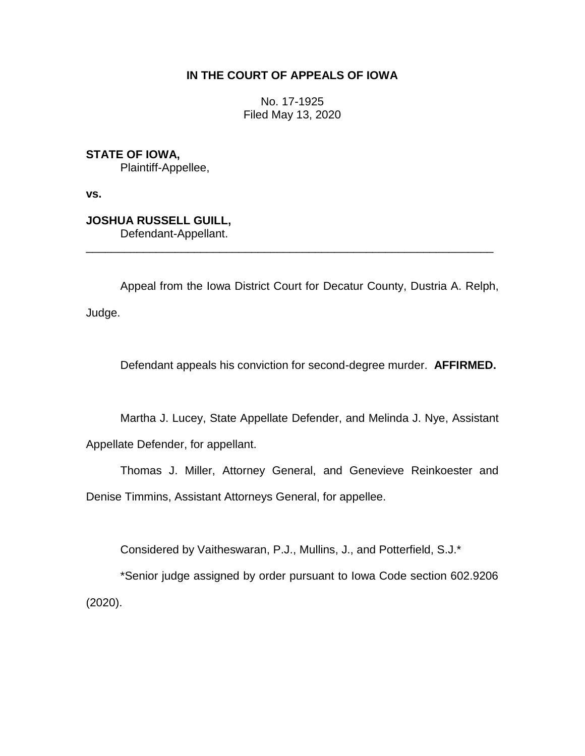# **IN THE COURT OF APPEALS OF IOWA**

No. 17-1925 Filed May 13, 2020

**STATE OF IOWA,** Plaintiff-Appellee,

**vs.**

**JOSHUA RUSSELL GUILL,** Defendant-Appellant.

Appeal from the Iowa District Court for Decatur County, Dustria A. Relph, Judge.

\_\_\_\_\_\_\_\_\_\_\_\_\_\_\_\_\_\_\_\_\_\_\_\_\_\_\_\_\_\_\_\_\_\_\_\_\_\_\_\_\_\_\_\_\_\_\_\_\_\_\_\_\_\_\_\_\_\_\_\_\_\_\_\_

Defendant appeals his conviction for second-degree murder. **AFFIRMED.**

Martha J. Lucey, State Appellate Defender, and Melinda J. Nye, Assistant

Appellate Defender, for appellant.

Thomas J. Miller, Attorney General, and Genevieve Reinkoester and Denise Timmins, Assistant Attorneys General, for appellee.

Considered by Vaitheswaran, P.J., Mullins, J., and Potterfield, S.J.\*

\*Senior judge assigned by order pursuant to Iowa Code section 602.9206 (2020).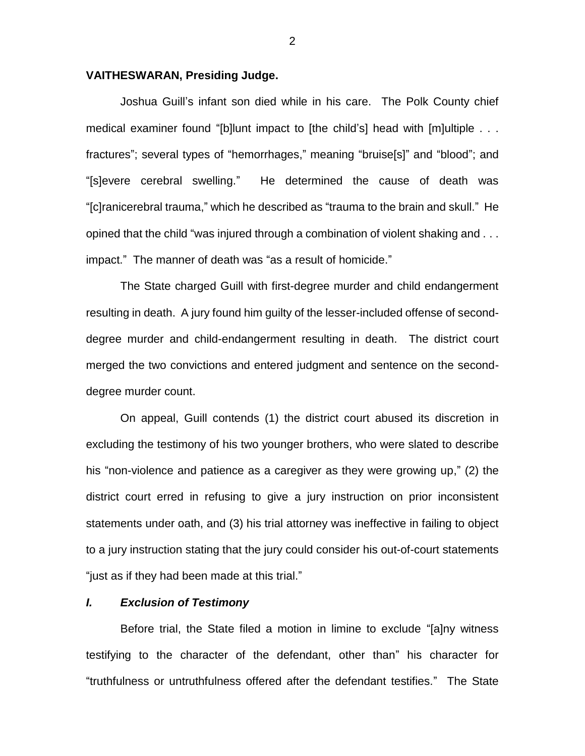### **VAITHESWARAN, Presiding Judge.**

Joshua Guill's infant son died while in his care. The Polk County chief medical examiner found "[b]lunt impact to [the child's] head with [m]ultiple . . . fractures"; several types of "hemorrhages," meaning "bruise[s]" and "blood"; and "[s]evere cerebral swelling." He determined the cause of death was "[c]ranicerebral trauma," which he described as "trauma to the brain and skull." He opined that the child "was injured through a combination of violent shaking and . . . impact." The manner of death was "as a result of homicide."

The State charged Guill with first-degree murder and child endangerment resulting in death. A jury found him guilty of the lesser-included offense of seconddegree murder and child-endangerment resulting in death. The district court merged the two convictions and entered judgment and sentence on the seconddegree murder count.

On appeal, Guill contends (1) the district court abused its discretion in excluding the testimony of his two younger brothers, who were slated to describe his "non-violence and patience as a caregiver as they were growing up," (2) the district court erred in refusing to give a jury instruction on prior inconsistent statements under oath, and (3) his trial attorney was ineffective in failing to object to a jury instruction stating that the jury could consider his out-of-court statements "just as if they had been made at this trial."

### *I. Exclusion of Testimony*

Before trial, the State filed a motion in limine to exclude "[a]ny witness testifying to the character of the defendant, other than" his character for "truthfulness or untruthfulness offered after the defendant testifies." The State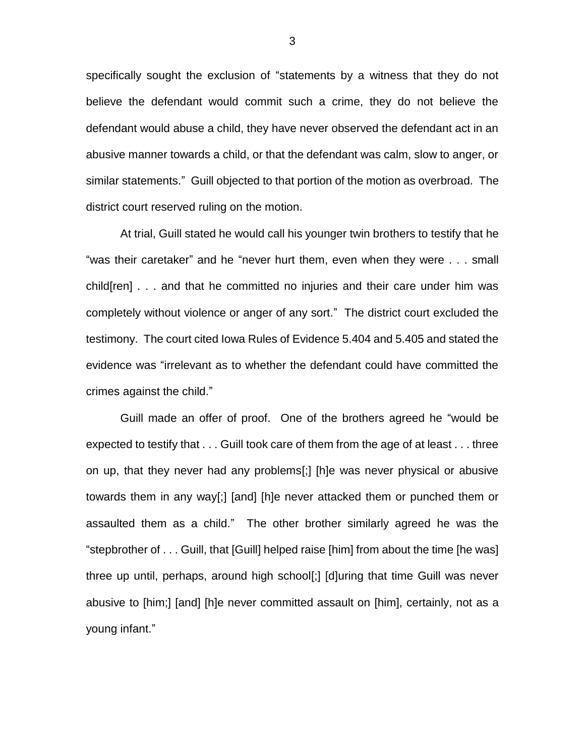specifically sought the exclusion of "statements by a witness that they do not believe the defendant would commit such a crime, they do not believe the defendant would abuse a child, they have never observed the defendant act in an abusive manner towards a child, or that the defendant was calm, slow to anger, or similar statements." Guill objected to that portion of the motion as overbroad. The district court reserved ruling on the motion.

At trial, Guill stated he would call his younger twin brothers to testify that he "was their caretaker" and he "never hurt them, even when they were . . . small child[ren] . . . and that he committed no injuries and their care under him was completely without violence or anger of any sort." The district court excluded the testimony. The court cited Iowa Rules of Evidence 5.404 and 5.405 and stated the evidence was "irrelevant as to whether the defendant could have committed the crimes against the child."

Guill made an offer of proof. One of the brothers agreed he "would be expected to testify that . . . Guill took care of them from the age of at least . . . three on up, that they never had any problems[;] [h]e was never physical or abusive towards them in any way[;] [and] [h]e never attacked them or punched them or assaulted them as a child." The other brother similarly agreed he was the "stepbrother of . . . Guill, that [Guill] helped raise [him] from about the time [he was] three up until, perhaps, around high school[;] [d]uring that time Guill was never abusive to [him;] [and] [h]e never committed assault on [him], certainly, not as a young infant."

3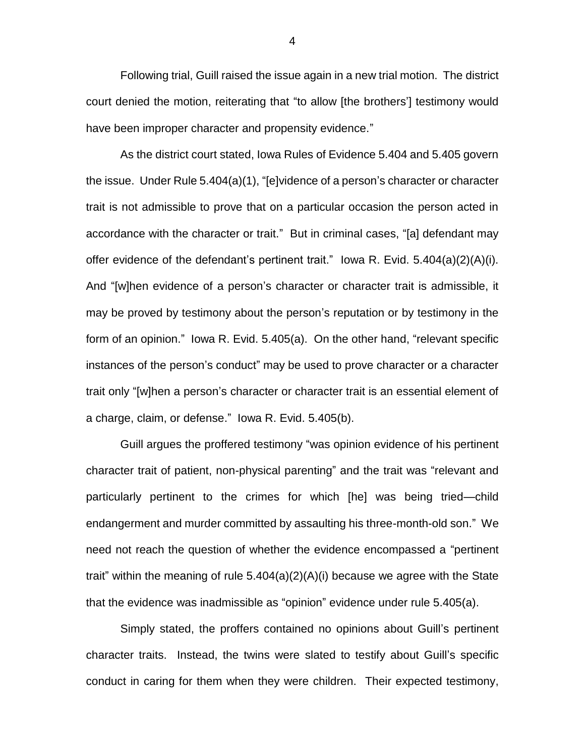Following trial, Guill raised the issue again in a new trial motion. The district court denied the motion, reiterating that "to allow [the brothers'] testimony would have been improper character and propensity evidence."

As the district court stated, Iowa Rules of Evidence 5.404 and 5.405 govern the issue. Under Rule 5.404(a)(1), "[e]vidence of a person's character or character trait is not admissible to prove that on a particular occasion the person acted in accordance with the character or trait." But in criminal cases, "[a] defendant may offer evidence of the defendant's pertinent trait." Iowa R. Evid. 5.404(a)(2)(A)(i). And "[w]hen evidence of a person's character or character trait is admissible, it may be proved by testimony about the person's reputation or by testimony in the form of an opinion." Iowa R. Evid. 5.405(a). On the other hand, "relevant specific instances of the person's conduct" may be used to prove character or a character trait only "[w]hen a person's character or character trait is an essential element of a charge, claim, or defense." Iowa R. Evid. 5.405(b).

Guill argues the proffered testimony "was opinion evidence of his pertinent character trait of patient, non-physical parenting" and the trait was "relevant and particularly pertinent to the crimes for which [he] was being tried—child endangerment and murder committed by assaulting his three-month-old son." We need not reach the question of whether the evidence encompassed a "pertinent trait" within the meaning of rule 5.404(a)(2)(A)(i) because we agree with the State that the evidence was inadmissible as "opinion" evidence under rule 5.405(a).

Simply stated, the proffers contained no opinions about Guill's pertinent character traits. Instead, the twins were slated to testify about Guill's specific conduct in caring for them when they were children. Their expected testimony,

4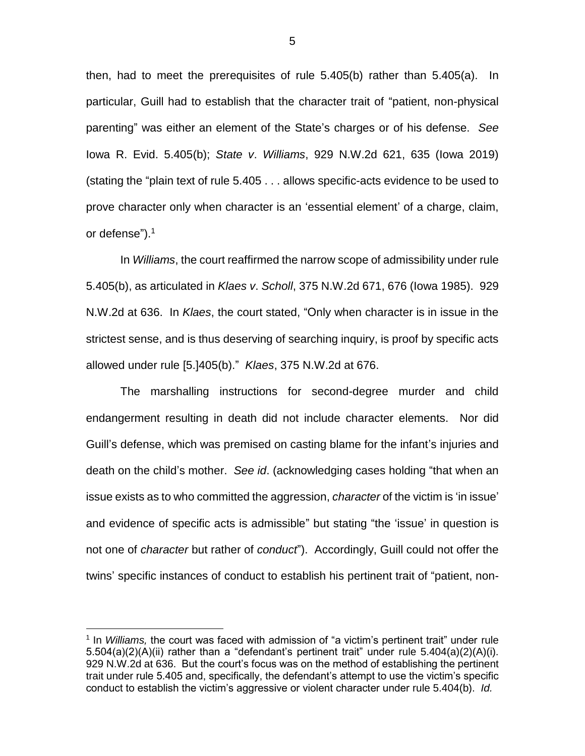then, had to meet the prerequisites of rule 5.405(b) rather than 5.405(a). In particular, Guill had to establish that the character trait of "patient, non-physical parenting" was either an element of the State's charges or of his defense. *See*  Iowa R. Evid. 5.405(b); *State v*. *Williams*, 929 N.W.2d 621, 635 (Iowa 2019) (stating the "plain text of rule 5.405 . . . allows specific-acts evidence to be used to prove character only when character is an 'essential element' of a charge, claim, or defense"). 1

In *Williams*, the court reaffirmed the narrow scope of admissibility under rule 5.405(b), as articulated in *Klaes v*. *Scholl*, 375 N.W.2d 671, 676 (Iowa 1985). 929 N.W.2d at 636. In *Klaes*, the court stated, "Only when character is in issue in the strictest sense, and is thus deserving of searching inquiry, is proof by specific acts allowed under rule [5.]405(b)." *Klaes*, 375 N.W.2d at 676.

The marshalling instructions for second-degree murder and child endangerment resulting in death did not include character elements. Nor did Guill's defense, which was premised on casting blame for the infant's injuries and death on the child's mother. *See id*. (acknowledging cases holding "that when an issue exists as to who committed the aggression, *character* of the victim is 'in issue' and evidence of specific acts is admissible" but stating "the 'issue' in question is not one of *character* but rather of *conduct*"). Accordingly, Guill could not offer the twins' specific instances of conduct to establish his pertinent trait of "patient, non-

 $\overline{a}$ 

<sup>&</sup>lt;sup>1</sup> In *Williams,* the court was faced with admission of "a victim's pertinent trait" under rule 5.504(a)(2)(A)(ii) rather than a "defendant's pertinent trait" under rule 5.404(a)(2)(A)(i). 929 N.W.2d at 636. But the court's focus was on the method of establishing the pertinent trait under rule 5.405 and, specifically, the defendant's attempt to use the victim's specific conduct to establish the victim's aggressive or violent character under rule 5.404(b). *Id.*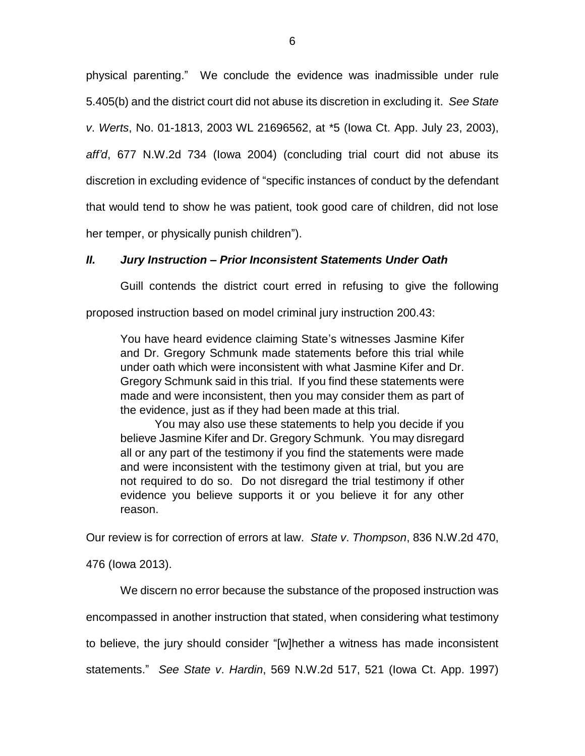physical parenting." We conclude the evidence was inadmissible under rule 5.405(b) and the district court did not abuse its discretion in excluding it. *See State v*. *Werts*, No. 01-1813, 2003 WL 21696562, at \*5 (Iowa Ct. App. July 23, 2003), *aff'd*, 677 N.W.2d 734 (Iowa 2004) (concluding trial court did not abuse its discretion in excluding evidence of "specific instances of conduct by the defendant that would tend to show he was patient, took good care of children, did not lose her temper, or physically punish children").

## *II. Jury Instruction – Prior Inconsistent Statements Under Oath*

Guill contends the district court erred in refusing to give the following

proposed instruction based on model criminal jury instruction 200.43:

You have heard evidence claiming State's witnesses Jasmine Kifer and Dr. Gregory Schmunk made statements before this trial while under oath which were inconsistent with what Jasmine Kifer and Dr. Gregory Schmunk said in this trial. If you find these statements were made and were inconsistent, then you may consider them as part of the evidence, just as if they had been made at this trial.

You may also use these statements to help you decide if you believe Jasmine Kifer and Dr. Gregory Schmunk. You may disregard all or any part of the testimony if you find the statements were made and were inconsistent with the testimony given at trial, but you are not required to do so. Do not disregard the trial testimony if other evidence you believe supports it or you believe it for any other reason.

Our review is for correction of errors at law. *State v*. *Thompson*, 836 N.W.2d 470,

476 (Iowa 2013).

We discern no error because the substance of the proposed instruction was encompassed in another instruction that stated, when considering what testimony to believe, the jury should consider "[w]hether a witness has made inconsistent statements." *See State v*. *Hardin*, 569 N.W.2d 517, 521 (Iowa Ct. App. 1997)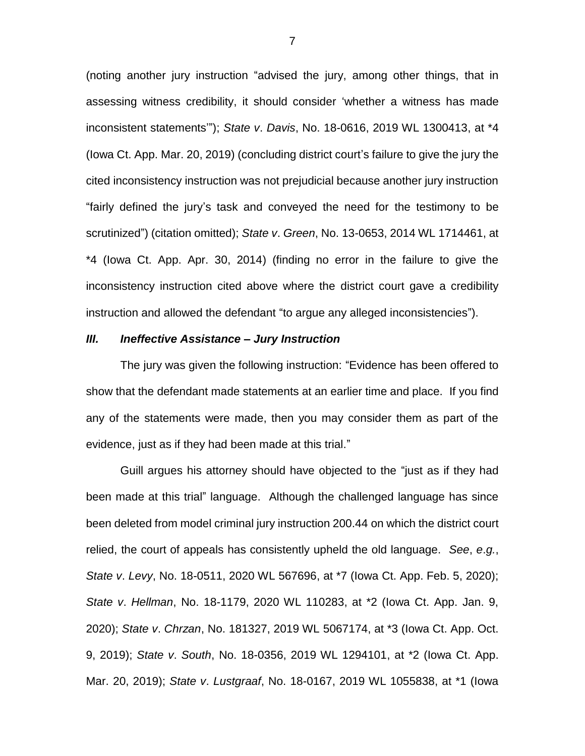(noting another jury instruction "advised the jury, among other things, that in assessing witness credibility, it should consider 'whether a witness has made inconsistent statements'"); *State v*. *Davis*, No. 18-0616, 2019 WL 1300413, at \*4 (Iowa Ct. App. Mar. 20, 2019) (concluding district court's failure to give the jury the cited inconsistency instruction was not prejudicial because another jury instruction "fairly defined the jury's task and conveyed the need for the testimony to be scrutinized") (citation omitted); *State v*. *Green*, No. 13-0653, 2014 WL 1714461, at \*4 (Iowa Ct. App. Apr. 30, 2014) (finding no error in the failure to give the inconsistency instruction cited above where the district court gave a credibility instruction and allowed the defendant "to argue any alleged inconsistencies").

### *III. Ineffective Assistance – Jury Instruction*

The jury was given the following instruction: "Evidence has been offered to show that the defendant made statements at an earlier time and place. If you find any of the statements were made, then you may consider them as part of the evidence, just as if they had been made at this trial."

Guill argues his attorney should have objected to the "just as if they had been made at this trial" language. Although the challenged language has since been deleted from model criminal jury instruction 200.44 on which the district court relied, the court of appeals has consistently upheld the old language. *See*, *e*.*g.*, *State v*. *Levy*, No. 18-0511, 2020 WL 567696, at \*7 (Iowa Ct. App. Feb. 5, 2020); *State v*. *Hellman*, No. 18-1179, 2020 WL 110283, at \*2 (Iowa Ct. App. Jan. 9, 2020); *State v*. *Chrzan*, No. 181327, 2019 WL 5067174, at \*3 (Iowa Ct. App. Oct. 9, 2019); *State v*. *South*, No. 18-0356, 2019 WL 1294101, at \*2 (Iowa Ct. App. Mar. 20, 2019); *State v*. *Lustgraaf*, No. 18-0167, 2019 WL 1055838, at \*1 (Iowa